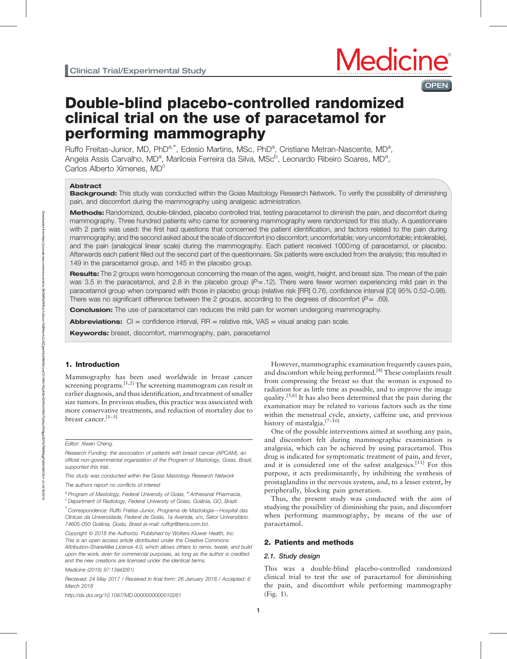# **OPEN**

# Double-blind placebo-controlled randomized clinical trial on the use of paracetamol for performing mammography

Ruffo Freitas-Junior, MD, PhD<sup>a,\*</sup>, Edesio Martins, MSc, PhD<sup>a</sup>, Cristiane Metran-Nascente, MD<sup>a</sup>, Angela Assis Carvalho, MD<sup>a</sup>, Marilceia Ferreira da Silva, MSc<sup>b</sup>, Leonardo Ribeiro Soares, MD<sup>a</sup>, Carlos Alberto Ximenes, MD<sup>c</sup>

# Abstract

Background: This study was conducted within the Goias Mastology Research Network. To verify the possibility of diminishing pain, and discomfort during the mammography using analgesic administration.

Methods: Randomized, double-blinded, placebo controlled trial, testing paracetamol to diminish the pain, and discomfort during mammography. Three hundred patients who came for screening mammography were randomized for this study. A questionnaire with 2 parts was used: the first had questions that concerned the patient identification, and factors related to the pain during mammography; and the second asked about the scale of discomfort (no discomfort; uncomfortable; very uncomfortable; intolerable), and the pain (analogical linear scale) during the mammography. Each patient received 1000mg of paracetamol, or placebo. Afterwards each patient filled out the second part of the questionnaire. Six patients were excluded from the analysis; this resulted in 149 in the paracetamol group, and 145 in the placebo group.

Results: The 2 groups were homogenous concerning the mean of the ages, weight, height, and breast size. The mean of the pain was 3.5 in the paracetamol, and 2.8 in the placebo group  $(P=.12)$ . There were fewer women experiencing mild pain in the paracetamol group when compared with those in placebo group (relative risk [RR] 0.76, confidence interval [CI] 95% 0.52–0.98). There was no significant difference between the 2 groups, according to the degrees of discomfort  $(P= .69)$ .

**Conclusion:** The use of paracetamol can reduces the mild pain for women undergoing mammography.

**Abbreviations:**  $Cl =$  confidence interval,  $RR =$  relative risk,  $VAS =$  visual analog pain scale.

**Keywords:** breast, discomfort, mammography, pain, paracetamol

# 1. Introduction

Mammography has been used worldwide in breast cancer screening programs.<sup>[1,2]</sup> The screening mammogram can result in earlier diagnosis, and thus identification, and treatment of smaller size tumors. In previous studies, this practice was associated with more conservative treatments, and reduction of mortality due to breast cancer.[1–3]

#### Editor: Xiwen Cheng.

- Research Funding: the association of patients with breast cancer (APCAM), an official non-governmental organization of the Program of Mastology, Goias, Brazil, supported this trial.
- This study was conducted within the Goias Mastology Research Network
- The authors report no conflicts of interest

<sup>a</sup> Program of Mastology, Federal University of Goias, <sup>b</sup> Arthesanal Pharmacia,

<sup>c</sup> Department of Radiology, Federal University of Goias, Goiânia, GO, Brazil.

∗ Correspondence: Ruffo Freitas-Junior, Programa de Mastologia—Hospital das Clínicas da Universidade, Federal de Goiás, 1a Avenida, s/n, Setor Universitário. 74605-050 Goiânia, Goiás, Brasil (e-mail: [ruffojr@terra.com.br\)](mailto:ruffojr@terra.com.br).

Copyright © 2018 the Author(s). Published by Wolters Kluwer Health, Inc. This is an open access article distributed under the [Creative Commons](http://creativecommons.org/licenses/by-sa/4.0) [Attribution-ShareAlike License 4.0,](http://creativecommons.org/licenses/by-sa/4.0) which allows others to remix, tweak, and build upon the work, even for commercial purposes, as long as the author is credited and the new creations are licensed under the identical terms.

Medicine (2018) 97:13(e0261)

Received: 24 May 2017 / Received in final form: 26 January 2018 / Accepted: 6 March 2018

<http://dx.doi.org/10.1097/MD.0000000000010261>

However, mammographic examination frequently causes pain, and discomfort while being performed.[4] These complaints result from compressing the breast so that the woman is exposed to radiation for as little time as possible, and to improve the image quality.<sup>[5,6]</sup> It has also been determined that the pain during the examination may be related to various factors such as the time within the menstrual cycle, anxiety, caffeine use, and previous history of mastalgia.<sup>[7-10]</sup>

One of the possible interventions aimed at soothing any pain, and discomfort felt during mammographic examination is analgesia, which can be achieved by using paracetamol. This drug is indicated for symptomatic treatment of pain, and fever, and it is considered one of the safest analgesics.<sup>[11]</sup> For this purpose, it acts predominantly, by inhibiting the synthesis of prostaglandins in the nervous system, and, to a lesser extent, by peripherally, blocking pain generation.

Thus, the present study was conducted with the aim of studying the possibility of diminishing the pain, and discomfort when performing mammography, by means of the use of paracetamol.

#### 2. Patients and methods

#### 2.1. Study design

This was a double-blind placebo-controlled randomized clinical trial to test the use of paracetamol for diminishing the pain, and discomfort while performing mammography (Fig. 1).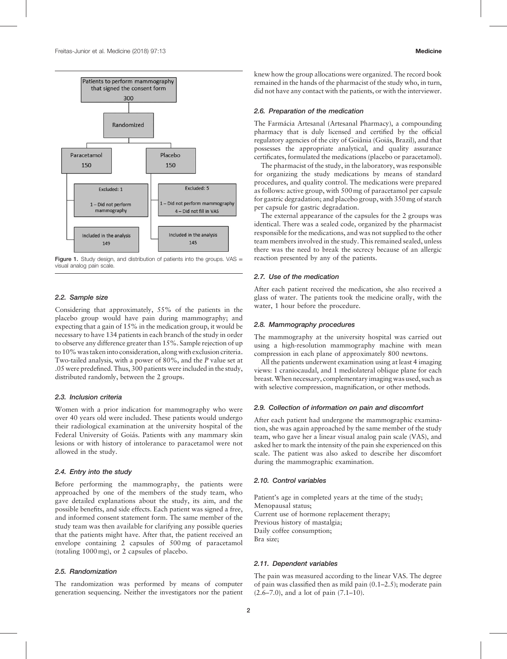

Figure 1. Study design, and distribution of patients into the groups. VAS = visual analog pain scale.

# 2.2. Sample size

Considering that approximately, 55% of the patients in the placebo group would have pain during mammography; and expecting that a gain of 15% in the medication group, it would be necessary to have 134 patients in each branch of the study in order to observe any difference greater than 15%. Sample rejection of up to 10% was takeninto consideration, along with exclusion criteria. Two-tailed analysis, with a power of 80%, and the P value set at .05 were predefined. Thus, 300 patients were included in the study, distributed randomly, between the 2 groups.

# 2.3. Inclusion criteria

Women with a prior indication for mammography who were over 40 years old were included. These patients would undergo their radiological examination at the university hospital of the Federal University of Goiás. Patients with any mammary skin lesions or with history of intolerance to paracetamol were not allowed in the study.

#### 2.4. Entry into the study

Before performing the mammography, the patients were approached by one of the members of the study team, who gave detailed explanations about the study, its aim, and the possible benefits, and side effects. Each patient was signed a free, and informed consent statement form. The same member of the study team was then available for clarifying any possible queries that the patients might have. After that, the patient received an envelope containing 2 capsules of 500mg of paracetamol (totaling 1000mg), or 2 capsules of placebo.

# 2.5. Randomization

The randomization was performed by means of computer generation sequencing. Neither the investigators nor the patient knew how the group allocations were organized. The record book remained in the hands of the pharmacist of the study who, in turn, did not have any contact with the patients, or with the interviewer.

#### 2.6. Preparation of the medication

The Farmácia Artesanal (Artesanal Pharmacy), a compounding pharmacy that is duly licensed and certified by the official regulatory agencies of the city of Goiânia (Goiás, Brazil), and that possesses the appropriate analytical, and quality assurance certificates, formulated the medications (placebo or paracetamol).

The pharmacist of the study, in the laboratory, was responsible for organizing the study medications by means of standard procedures, and quality control. The medications were prepared as follows: active group, with 500mg of paracetamol per capsule for gastric degradation; and placebo group, with 350mg of starch per capsule for gastric degradation.

The external appearance of the capsules for the 2 groups was identical. There was a sealed code, organized by the pharmacist responsible for the medications, and was not supplied to the other team members involved in the study. This remained sealed, unless there was the need to break the secrecy because of an allergic reaction presented by any of the patients.

# 2.7. Use of the medication

After each patient received the medication, she also received a glass of water. The patients took the medicine orally, with the water, 1 hour before the procedure.

#### 2.8. Mammography procedures

The mammography at the university hospital was carried out using a high-resolution mammography machine with mean compression in each plane of approximately 800 newtons.

All the patients underwent examination using at least 4 imaging views: 1 craniocaudal, and 1 mediolateral oblique plane for each breast.When necessary, complementary imaging was used, such as with selective compression, magnification, or other methods.

#### 2.9. Collection of information on pain and discomfort

After each patient had undergone the mammographic examination, she was again approached by the same member of the study team, who gave her a linear visual analog pain scale (VAS), and asked her to mark the intensity of the pain she experienced on this scale. The patient was also asked to describe her discomfort during the mammographic examination.

#### 2.10. Control variables

Patient's age in completed years at the time of the study; Menopausal status; Current use of hormone replacement therapy; Previous history of mastalgia; Daily coffee consumption; Bra size;

#### 2.11. Dependent variables

The pain was measured according to the linear VAS. The degree of pain was classified then as mild pain (0.1–2.5); moderate pain (2.6–7.0), and a lot of pain (7.1–10).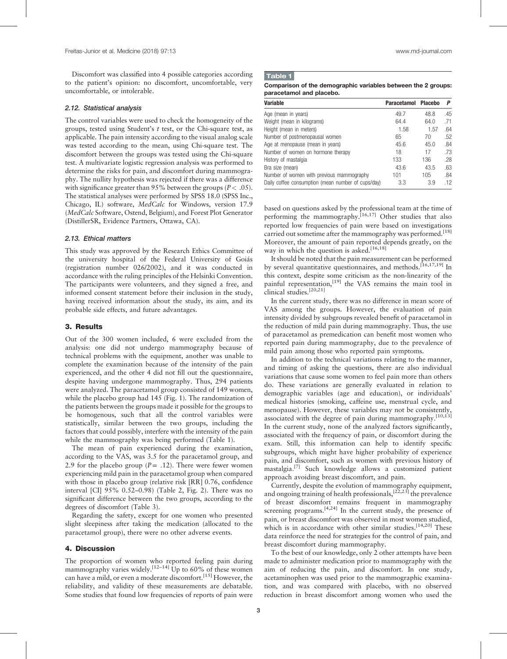Discomfort was classified into 4 possible categories according to the patient's opinion: no discomfort, uncomfortable, very uncomfortable, or intolerable.

#### 2.12. Statistical analysis

The control variables were used to check the homogeneity of the groups, tested using Student's  $t$  test, or the Chi-square test, as applicable. The pain intensity according to the visual analog scale was tested according to the mean, using Chi-square test. The discomfort between the groups was tested using the Chi-square test. A multivariate logistic regression analysis was performed to determine the risks for pain, and discomfort during mammography. The nullity hypothesis was rejected if there was a difference with significance greater than 95% between the groups ( $P < .05$ ). The statistical analyses were performed by SPSS 18.0 (SPSS Inc., Chicago, IL) software, MedCalc for Windows, version 17.9 (MedCalc Software, Ostend, Belgium), and Forest Plot Generator (DistillerSR, Evidence Partners, Ottawa, CA).

#### 2.13. Ethical matters

This study was approved by the Research Ethics Committee of the university hospital of the Federal University of Goiás (registration number 026/2002), and it was conducted in accordance with the ruling principles of the Helsinki Convention. The participants were volunteers, and they signed a free, and informed consent statement before their inclusion in the study, having received information about the study, its aim, and its probable side effects, and future advantages.

#### 3. Results

Out of the 300 women included, 6 were excluded from the analysis: one did not undergo mammography because of technical problems with the equipment, another was unable to complete the examination because of the intensity of the pain experienced, and the other 4 did not fill out the questionnaire, despite having undergone mammography. Thus, 294 patients were analyzed. The paracetamol group consisted of 149 women, while the placebo group had 145 (Fig. 1). The randomization of the patients between the groups made it possible for the groups to be homogenous, such that all the control variables were statistically, similar between the two groups, including the factors that could possibly, interfere with the intensity of the pain while the mammography was being performed (Table 1).

The mean of pain experienced during the examination, according to the VAS, was 3.5 for the paracetamol group, and 2.9 for the placebo group  $(P = .12)$ . There were fewer women experiencing mild pain in the paracetamol group when compared with those in placebo group (relative risk [RR] 0.76, confidence interval [CI] 95% 0.52–0.98) (Table 2, Fig. 2). There was no significant difference between the two groups, according to the degrees of discomfort (Table 3).

Regarding the safety, except for one women who presented slight sleepiness after taking the medication (allocated to the paracetamol group), there were no other adverse events.

#### 4. Discussion

The proportion of women who reported feeling pain during mammography varies widely.<sup>[12–14]</sup> Up to  $60\%$  of these women can have a mild, or even a moderate discomfort.<sup>[15]</sup> However, the reliability, and validity of these measurements are debatable. Some studies that found low frequencies of reports of pain were

# Table 1

Comparison of the demographic variables between the 2 groups: paracetamol and placebo.

| Variable                                           | <b>Paracetamol</b> | <b>Placebo</b> | Р   |
|----------------------------------------------------|--------------------|----------------|-----|
| Age (mean in years)                                | 49.7               | 48.8           | .45 |
| Weight (mean in kilograms)                         | 64.4               | 64.0           | .71 |
| Height (mean in meters)                            | 1.58               | 1.57           | .64 |
| Number of postmenopausal women                     | 65                 | 70             | .52 |
| Age at menopause (mean in years)                   | 45.6               | 45.0           | .84 |
| Number of women on hormone therapy                 | 18                 | 17             | .73 |
| History of mastalgia                               | 133                | 136            | .28 |
| Bra size (mean)                                    | 43.6               | 43.5           | .63 |
| Number of women with previous mammography          | 101                | 105            | .84 |
| Daily coffee consumption (mean number of cups/day) | 3.3                | 3.9            | .12 |

based on questions asked by the professional team at the time of performing the mammography.<sup>[16,17]</sup> Other studies that also reported low frequencies of pain were based on investigations carried out sometime after the mammography was performed.<sup>[18]</sup> Moreover, the amount of pain reported depends greatly, on the way in which the question is asked.<sup>[16,18]</sup>

It should be noted that the pain measurement can be performed by several quantitative questionnaires, and methods.<sup>[16,17,19]</sup> In this context, despite some criticism as the non-linearity of the painful representation,<sup>[19]</sup> the VAS remains the main tool in clinical studies.[20,21]

In the current study, there was no difference in mean score of VAS among the groups. However, the evaluation of pain intensity divided by subgroups revealed benefit of paracetamol in the reduction of mild pain during mammography. Thus, the use of paracetamol as premedication can benefit most women who reported pain during mammography, due to the prevalence of mild pain among those who reported pain symptoms.

In addition to the technical variations relating to the manner, and timing of asking the questions, there are also individual variations that cause some women to feel pain more than others do. These variations are generally evaluated in relation to demographic variables (age and education), or individuals' medical histories (smoking, caffeine use, menstrual cycle, and menopause). However, these variables may not be consistently, associated with the degree of pain during mammography.<sup>[10,13]</sup> In the current study, none of the analyzed factors significantly, associated with the frequency of pain, or discomfort during the exam. Still, this information can help to identify specific subgroups, which might have higher probability of experience pain, and discomfort, such as women with previous history of mastalgia.<sup>[7]</sup> Such knowledge allows a customized patient approach avoiding breast discomfort, and pain.

Currently, despite the evolution of mammography equipment, and ongoing training of health professionals,  $[22,23]$  the prevalence of breast discomfort remains frequent in mammography screening programs. $[4,24]$  In the current study, the presence of pain, or breast discomfort was observed in most women studied, which is in accordance with other similar studies.<sup>[14,20]</sup> These data reinforce the need for strategies for the control of pain, and breast discomfort during mammography.

To the best of our knowledge, only 2 other attempts have been made to administer medication prior to mammography with the aim of reducing the pain, and discomfort. In one study, acetaminophen was used prior to the mammographic examination, and was compared with placebo, with no observed reduction in breast discomfort among women who used the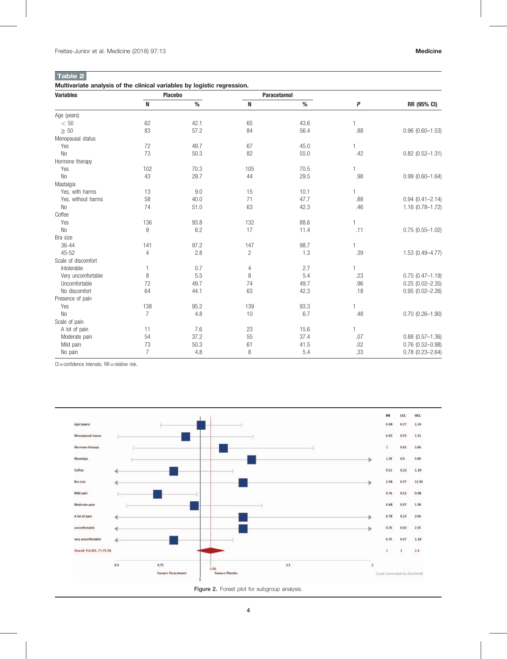# Table 2

Multivariate analysis of the clinical variables by logistic regression.

| <b>Variables</b>    | <b>Placebo</b> |      | Paracetamol    |      |                |                        |
|---------------------|----------------|------|----------------|------|----------------|------------------------|
|                     | $\mathbf N$    | $\%$ | N              | $\%$ | P              | RR (95% CI)            |
| Age (years)         |                |      |                |      |                |                        |
| < 50                | 62             | 42.1 | 65             | 43.6 |                |                        |
| $\geq 50$           | 83             | 57.2 | 84             | 56.4 | .88            | $0.96$ (0.60-1.53)     |
| Menopausal status   |                |      |                |      |                |                        |
| Yes                 | 72             | 49.7 | 67             | 45.0 | 1              |                        |
| N <sub>0</sub>      | 73             | 50.3 | 82             | 55.0 | .42            | $0.82$ (0.52-1.31)     |
| Hormone therapy     |                |      |                |      |                |                        |
| Yes                 | 102            | 70.3 | 105            | 70.5 | 1              |                        |
| N <sub>0</sub>      | 43             | 29.7 | 44             | 29.5 | .98            | $0.99(0.60 - 1.64)$    |
| Mastalgia           |                |      |                |      |                |                        |
| Yes, with harms     | 13             | 9.0  | 15             | 10.1 | $\overline{1}$ |                        |
| Yes, without harms  | 58             | 40.0 | 71             | 47.7 | .88            | $0.94(0.41 - 2.14)$    |
| <b>No</b>           | 74             | 51.0 | 63             | 42.3 | .46            | $1.16(0.78 - 1.72)$    |
| Coffee              |                |      |                |      |                |                        |
| Yes                 | 136            | 93.8 | 132            | 88.6 | 1              |                        |
| <b>No</b>           | 9              | 6.2  | 17             | 11.4 | .11            | $0.75(0.55 - 1.02)$    |
| Bra size            |                |      |                |      |                |                        |
| 36-44               | 141            | 97.2 | 147            | 98.7 | 1              |                        |
| $45 - 52$           | 4              | 2.8  | $\overline{c}$ | 1.3  | .39            | $1.53(0.49 - 4.77)$    |
| Scale of discomfort |                |      |                |      |                |                        |
| Intolerable         | 1              | 0.7  | $\overline{4}$ | 2.7  | 1              |                        |
| Very uncomfortable  | 8              | 5.5  | 8              | 5.4  | .23            | $0.75(0.47 - 1.19)$    |
| Uncomfortable       | 72             | 49.7 | 74             | 49.7 | .96            | $0.25(0.02 - 2.35)$    |
| No discomfort       | 64             | 44.1 | 63             | 42.3 | .18            | $0.95(0.02 - 2.26)$    |
| Presence of pain    |                |      |                |      |                |                        |
| Yes                 | 138            | 95.2 | 139            | 93.3 | 1              |                        |
| <b>No</b>           | $\overline{7}$ | 4.8  | 10             | 6.7  | .48            | $0.70$ $(0.26 - 1.90)$ |
| Scale of pain       |                |      |                |      |                |                        |
| A lot of pain       | 11             | 7.6  | 23             | 15.6 | 1              |                        |
| Moderate pain       | 54             | 37.2 | 55             | 37.4 | .07            | $0.88$ $(0.57 - 1.36)$ |
| Mild pain           | 73             | 50.3 | 61             | 41.5 | .02            | $0.76$ $(0.52 - 0.98)$ |
| No pain             | $\overline{7}$ | 4.8  | 8              | 5.4  | .33            | $0.78(0.23 - 2.64)$    |

 $Cl =$ confidence intervals;  $RR =$ relative risk.



Figure 2. Forest plot for subgroup analysis.